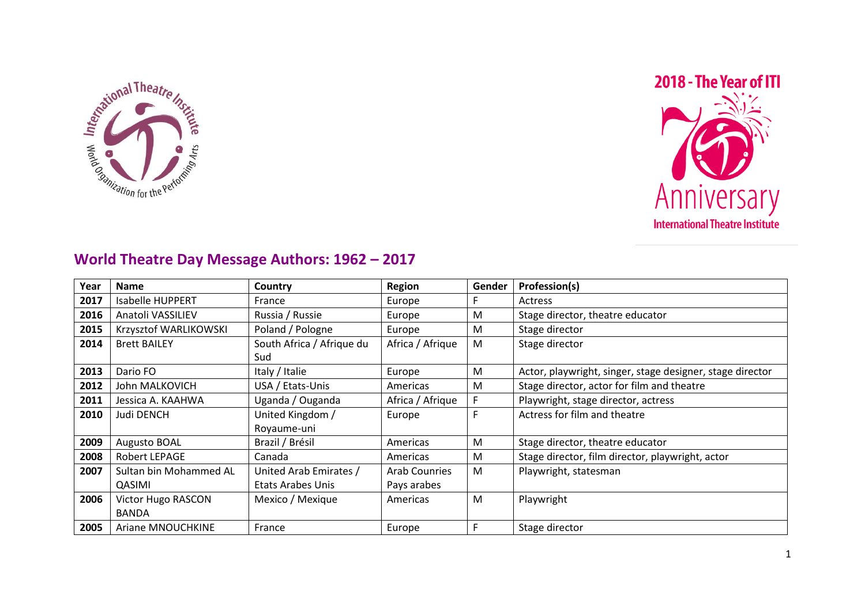



## **World Theatre Day Message Authors: 1962 – 2017**

| Year | <b>Name</b>             | Country                   | <b>Region</b>        | Gender | Profession(s)                                             |
|------|-------------------------|---------------------------|----------------------|--------|-----------------------------------------------------------|
| 2017 | <b>Isabelle HUPPERT</b> | France                    | Europe               |        | Actress                                                   |
| 2016 | Anatoli VASSILIEV       | Russia / Russie           | Europe               | M      | Stage director, theatre educator                          |
| 2015 | Krzysztof WARLIKOWSKI   | Poland / Pologne          | Europe               | M      | Stage director                                            |
| 2014 | <b>Brett BAILEY</b>     | South Africa / Afrique du | Africa / Afrique     | M      | Stage director                                            |
|      |                         | Sud                       |                      |        |                                                           |
| 2013 | Dario FO                | Italy / Italie            | Europe               | M      | Actor, playwright, singer, stage designer, stage director |
| 2012 | John MALKOVICH          | USA / Etats-Unis          | Americas             | M      | Stage director, actor for film and theatre                |
| 2011 | Jessica A. KAAHWA       | Uganda / Ouganda          | Africa / Afrique     | F      | Playwright, stage director, actress                       |
| 2010 | <b>Judi DENCH</b>       | United Kingdom /          | Europe               | F      | Actress for film and theatre                              |
|      |                         | Royaume-uni               |                      |        |                                                           |
| 2009 | <b>Augusto BOAL</b>     | Brazil / Brésil           | Americas             | M      | Stage director, theatre educator                          |
| 2008 | Robert LEPAGE           | Canada                    | Americas             | M      | Stage director, film director, playwright, actor          |
| 2007 | Sultan bin Mohammed AL  | United Arab Emirates /    | <b>Arab Counries</b> | M      | Playwright, statesman                                     |
|      | QASIMI                  | Etats Arabes Unis         | Pays arabes          |        |                                                           |
| 2006 | Victor Hugo RASCON      | Mexico / Mexique          | Americas             | M      | Playwright                                                |
|      | <b>BANDA</b>            |                           |                      |        |                                                           |
| 2005 | Ariane MNOUCHKINE       | France                    | Europe               | F      | Stage director                                            |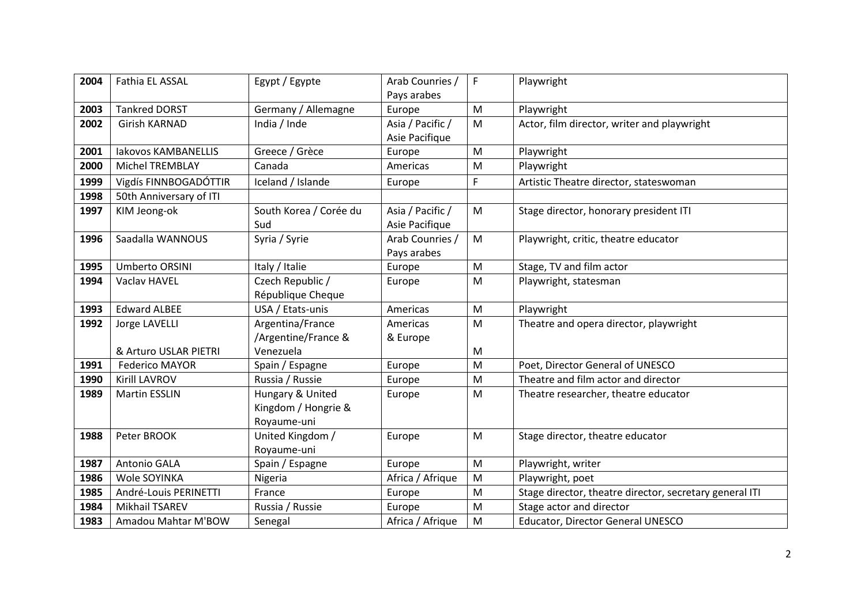| 2004 | Fathia EL ASSAL            | Egypt / Egypte         | Arab Counries /  | F.                                                                                    | Playwright                                              |
|------|----------------------------|------------------------|------------------|---------------------------------------------------------------------------------------|---------------------------------------------------------|
|      |                            |                        | Pays arabes      |                                                                                       |                                                         |
| 2003 | <b>Tankred DORST</b>       | Germany / Allemagne    | Europe           | ${\sf M}$                                                                             | Playwright                                              |
| 2002 | Girish KARNAD              | India / Inde           | Asia / Pacific / | M                                                                                     | Actor, film director, writer and playwright             |
|      |                            |                        | Asie Pacifique   |                                                                                       |                                                         |
| 2001 | <b>Iakovos KAMBANELLIS</b> | Greece / Grèce         | Europe           | M                                                                                     | Playwright                                              |
| 2000 | <b>Michel TREMBLAY</b>     | Canada                 | Americas         | M                                                                                     | Playwright                                              |
| 1999 | Vigdís FINNBOGADÓTTIR      | Iceland / Islande      | Europe           | F                                                                                     | Artistic Theatre director, stateswoman                  |
| 1998 | 50th Anniversary of ITI    |                        |                  |                                                                                       |                                                         |
| 1997 | KIM Jeong-ok               | South Korea / Corée du | Asia / Pacific / | M                                                                                     | Stage director, honorary president ITI                  |
|      |                            | Sud                    | Asie Pacifique   |                                                                                       |                                                         |
| 1996 | Saadalla WANNOUS           | Syria / Syrie          | Arab Counries /  | ${\sf M}$                                                                             | Playwright, critic, theatre educator                    |
|      |                            |                        | Pays arabes      |                                                                                       |                                                         |
| 1995 | <b>Umberto ORSINI</b>      | Italy / Italie         | Europe           | $\mathsf{M}% _{T}=\mathsf{M}_{T}\!\left( a,b\right) ,\ \mathsf{M}_{T}=\mathsf{M}_{T}$ | Stage, TV and film actor                                |
| 1994 | Vaclav HAVEL               | Czech Republic /       | Europe           | M                                                                                     | Playwright, statesman                                   |
|      |                            | République Cheque      |                  |                                                                                       |                                                         |
| 1993 | <b>Edward ALBEE</b>        | USA / Etats-unis       | Americas         | M                                                                                     | Playwright                                              |
| 1992 | Jorge LAVELLI              | Argentina/France       | Americas         | M                                                                                     | Theatre and opera director, playwright                  |
|      |                            | /Argentine/France &    | & Europe         |                                                                                       |                                                         |
|      | & Arturo USLAR PIETRI      | Venezuela              |                  | M                                                                                     |                                                         |
| 1991 | <b>Federico MAYOR</b>      | Spain / Espagne        | Europe           | M                                                                                     | Poet, Director General of UNESCO                        |
| 1990 | Kirill LAVROV              | Russia / Russie        | Europe           | M                                                                                     | Theatre and film actor and director                     |
| 1989 | <b>Martin ESSLIN</b>       | Hungary & United       | Europe           | M                                                                                     | Theatre researcher, theatre educator                    |
|      |                            | Kingdom / Hongrie &    |                  |                                                                                       |                                                         |
|      |                            | Royaume-uni            |                  |                                                                                       |                                                         |
| 1988 | Peter BROOK                | United Kingdom /       | Europe           | M                                                                                     | Stage director, theatre educator                        |
|      |                            | Royaume-uni            |                  |                                                                                       |                                                         |
| 1987 | Antonio GALA               | Spain / Espagne        | Europe           | ${\sf M}$                                                                             | Playwright, writer                                      |
| 1986 | Wole SOYINKA               | Nigeria                | Africa / Afrique | M                                                                                     | Playwright, poet                                        |
| 1985 | André-Louis PERINETTI      | France                 | Europe           | M                                                                                     | Stage director, theatre director, secretary general ITI |
| 1984 | Mikhail TSAREV             | Russia / Russie        | Europe           | M                                                                                     | Stage actor and director                                |
| 1983 | Amadou Mahtar M'BOW        | Senegal                | Africa / Afrique | M                                                                                     | Educator, Director General UNESCO                       |